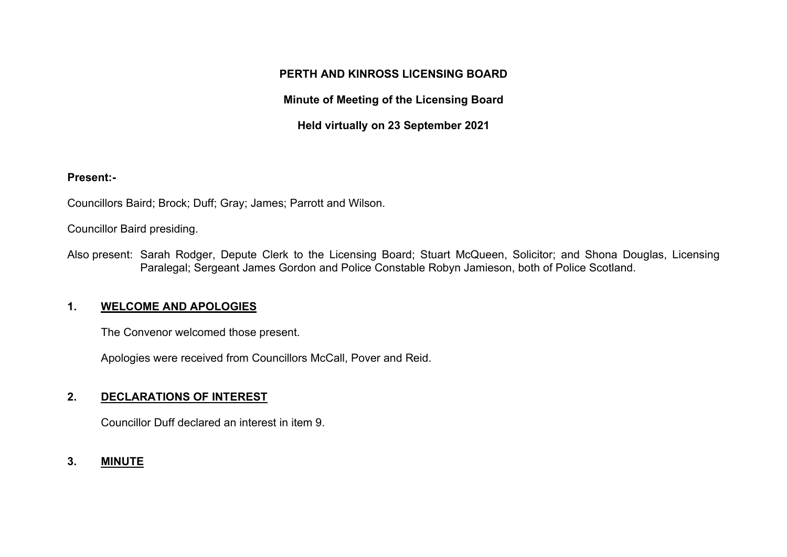### **PERTH AND KINROSS LICENSING BOARD**

## **Minute of Meeting of the Licensing Board**

**Held virtually on 23 September 2021** 

#### **Present:-**

Councillors Baird; Brock; Duff; Gray; James; Parrott and Wilson.

Councillor Baird presiding.

Also present: Sarah Rodger, Depute Clerk to the Licensing Board; Stuart McQueen, Solicitor; and Shona Douglas, Licensing Paralegal; Sergeant James Gordon and Police Constable Robyn Jamieson, both of Police Scotland.

#### **1. WELCOME AND APOLOGIES**

The Convenor welcomed those present.

Apologies were received from Councillors McCall, Pover and Reid.

# **2. DECLARATIONS OF INTEREST**

Councillor Duff declared an interest in item 9.

## **3. MINUTE**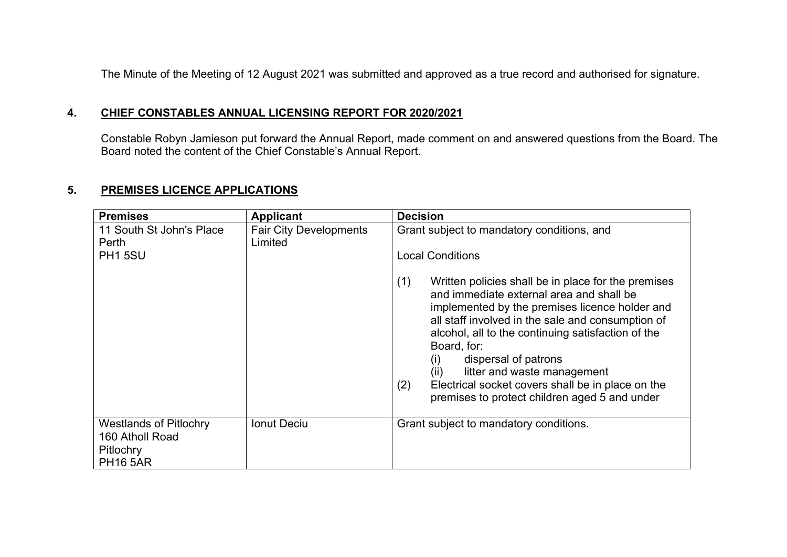The Minute of the Meeting of 12 August 2021 was submitted and approved as a true record and authorised for signature.

#### **4. CHIEF CONSTABLES ANNUAL LICENSING REPORT FOR 2020/2021**

Constable Robyn Jamieson put forward the Annual Report, made comment on and answered questions from the Board. The Board noted the content of the Chief Constable's Annual Report.

#### **5. PREMISES LICENCE APPLICATIONS**

| <b>Premises</b>                                                                  | <b>Applicant</b>                         | <b>Decision</b>                                                                                                                                                                                                                                                                                                                                                                                                                                                                                                                               |
|----------------------------------------------------------------------------------|------------------------------------------|-----------------------------------------------------------------------------------------------------------------------------------------------------------------------------------------------------------------------------------------------------------------------------------------------------------------------------------------------------------------------------------------------------------------------------------------------------------------------------------------------------------------------------------------------|
| 11 South St John's Place<br>Perth<br><b>PH1 5SU</b>                              | <b>Fair City Developments</b><br>Limited | Grant subject to mandatory conditions, and<br><b>Local Conditions</b><br>(1)<br>Written policies shall be in place for the premises<br>and immediate external area and shall be<br>implemented by the premises licence holder and<br>all staff involved in the sale and consumption of<br>alcohol, all to the continuing satisfaction of the<br>Board, for:<br>dispersal of patrons<br>(i)<br>litter and waste management<br>(i)<br>Electrical socket covers shall be in place on the<br>(2)<br>premises to protect children aged 5 and under |
| <b>Westlands of Pitlochry</b><br>160 Atholl Road<br>Pitlochry<br><b>PH16 5AR</b> | <b>Ionut Deciu</b>                       | Grant subject to mandatory conditions.                                                                                                                                                                                                                                                                                                                                                                                                                                                                                                        |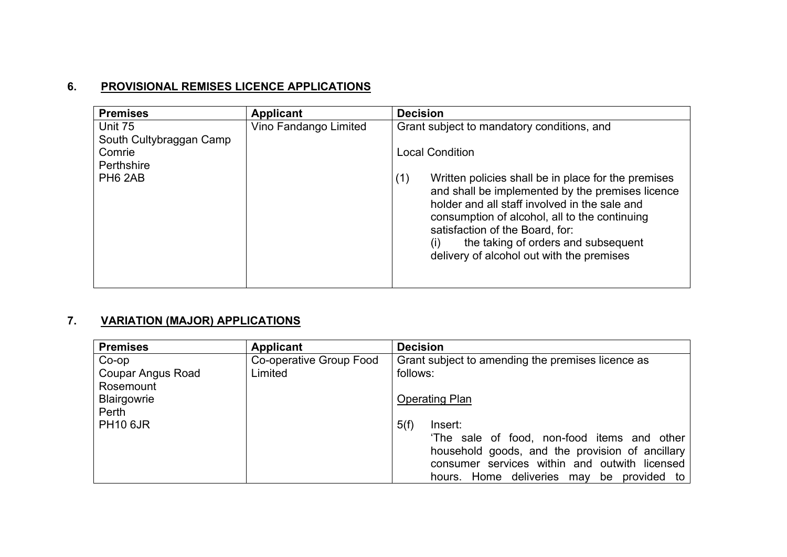# **6. PROVISIONAL REMISES LICENCE APPLICATIONS**

| <b>Premises</b>                                                                   | <b>Applicant</b>      | <b>Decision</b>                                                                                                                                                                                                                                                                                                                                                                                                        |
|-----------------------------------------------------------------------------------|-----------------------|------------------------------------------------------------------------------------------------------------------------------------------------------------------------------------------------------------------------------------------------------------------------------------------------------------------------------------------------------------------------------------------------------------------------|
| Unit 75<br>South Cultybraggan Camp<br>Comrie<br>Perthshire<br>PH <sub>6</sub> 2AB | Vino Fandango Limited | Grant subject to mandatory conditions, and<br><b>Local Condition</b><br>Written policies shall be in place for the premises<br>(1)<br>and shall be implemented by the premises licence<br>holder and all staff involved in the sale and<br>consumption of alcohol, all to the continuing<br>satisfaction of the Board, for:<br>the taking of orders and subsequent<br>(i)<br>delivery of alcohol out with the premises |

# **7. VARIATION (MAJOR) APPLICATIONS**

| <b>Premises</b>          | <b>Applicant</b>        | <b>Decision</b>                                   |
|--------------------------|-------------------------|---------------------------------------------------|
| $Co$ -op                 | Co-operative Group Food | Grant subject to amending the premises licence as |
| <b>Coupar Angus Road</b> | Limited                 | follows:                                          |
| Rosemount                |                         |                                                   |
| Blairgowrie              |                         | <b>Operating Plan</b>                             |
| Perth                    |                         |                                                   |
| <b>PH10 6JR</b>          |                         | 5(f)<br>Insert:                                   |
|                          |                         | 'The sale of food, non-food items and other       |
|                          |                         | household goods, and the provision of ancillary   |
|                          |                         | consumer services within and outwith licensed     |
|                          |                         | hours. Home deliveries may<br>provided to<br>be   |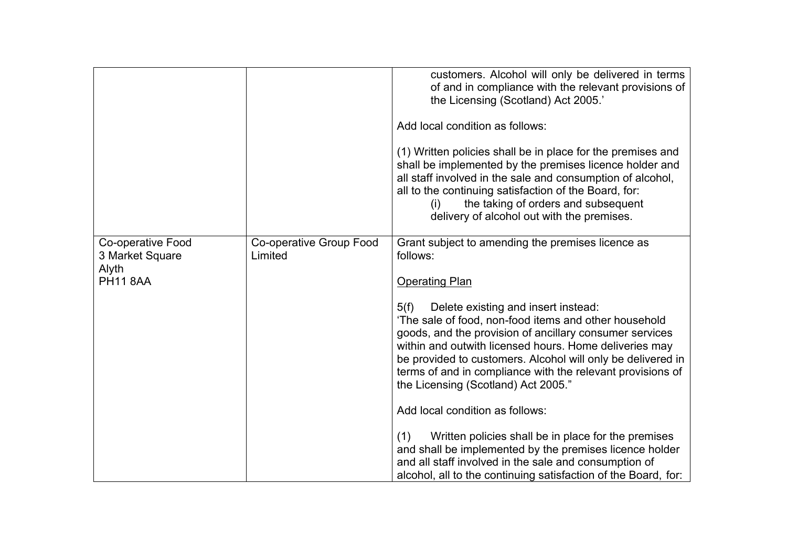|                                             |                                    | customers. Alcohol will only be delivered in terms<br>of and in compliance with the relevant provisions of<br>the Licensing (Scotland) Act 2005.'<br>Add local condition as follows:                                                                                                                                                                                                          |
|---------------------------------------------|------------------------------------|-----------------------------------------------------------------------------------------------------------------------------------------------------------------------------------------------------------------------------------------------------------------------------------------------------------------------------------------------------------------------------------------------|
|                                             |                                    | (1) Written policies shall be in place for the premises and<br>shall be implemented by the premises licence holder and<br>all staff involved in the sale and consumption of alcohol,<br>all to the continuing satisfaction of the Board, for:<br>the taking of orders and subsequent<br>delivery of alcohol out with the premises.                                                            |
| <b>Co-operative Food</b><br>3 Market Square | Co-operative Group Food<br>Limited | Grant subject to amending the premises licence as<br>follows:                                                                                                                                                                                                                                                                                                                                 |
| Alyth<br><b>PH11 8AA</b>                    |                                    | <b>Operating Plan</b>                                                                                                                                                                                                                                                                                                                                                                         |
|                                             |                                    | 5(f)<br>Delete existing and insert instead:<br>'The sale of food, non-food items and other household<br>goods, and the provision of ancillary consumer services<br>within and outwith licensed hours. Home deliveries may<br>be provided to customers. Alcohol will only be delivered in<br>terms of and in compliance with the relevant provisions of<br>the Licensing (Scotland) Act 2005." |
|                                             |                                    | Add local condition as follows:                                                                                                                                                                                                                                                                                                                                                               |
|                                             |                                    | Written policies shall be in place for the premises<br>(1)<br>and shall be implemented by the premises licence holder<br>and all staff involved in the sale and consumption of<br>alcohol, all to the continuing satisfaction of the Board, for:                                                                                                                                              |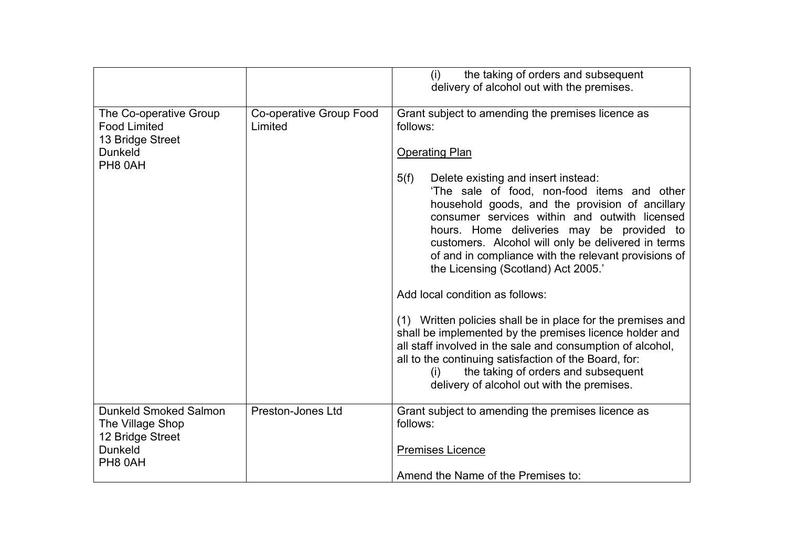|                                                                                                   |                                    | the taking of orders and subsequent<br>(i)<br>delivery of alcohol out with the premises.                                                                                                                                                                                                                                                                                                                                                                                                   |
|---------------------------------------------------------------------------------------------------|------------------------------------|--------------------------------------------------------------------------------------------------------------------------------------------------------------------------------------------------------------------------------------------------------------------------------------------------------------------------------------------------------------------------------------------------------------------------------------------------------------------------------------------|
| The Co-operative Group<br><b>Food Limited</b><br>13 Bridge Street<br><b>Dunkeld</b><br>PH8 0AH    | Co-operative Group Food<br>Limited | Grant subject to amending the premises licence as<br>follows:<br><b>Operating Plan</b><br>5(f)<br>Delete existing and insert instead:<br>'The sale of food, non-food items and other<br>household goods, and the provision of ancillary<br>consumer services within and outwith licensed<br>hours. Home deliveries may be provided to<br>customers. Alcohol will only be delivered in terms<br>of and in compliance with the relevant provisions of<br>the Licensing (Scotland) Act 2005.' |
|                                                                                                   |                                    | Add local condition as follows:<br>(1) Written policies shall be in place for the premises and<br>shall be implemented by the premises licence holder and<br>all staff involved in the sale and consumption of alcohol,<br>all to the continuing satisfaction of the Board, for:<br>the taking of orders and subsequent<br>(i)<br>delivery of alcohol out with the premises.                                                                                                               |
| <b>Dunkeld Smoked Salmon</b><br>The Village Shop<br>12 Bridge Street<br><b>Dunkeld</b><br>PH8 0AH | <b>Preston-Jones Ltd</b>           | Grant subject to amending the premises licence as<br>follows:<br><b>Premises Licence</b><br>Amend the Name of the Premises to:                                                                                                                                                                                                                                                                                                                                                             |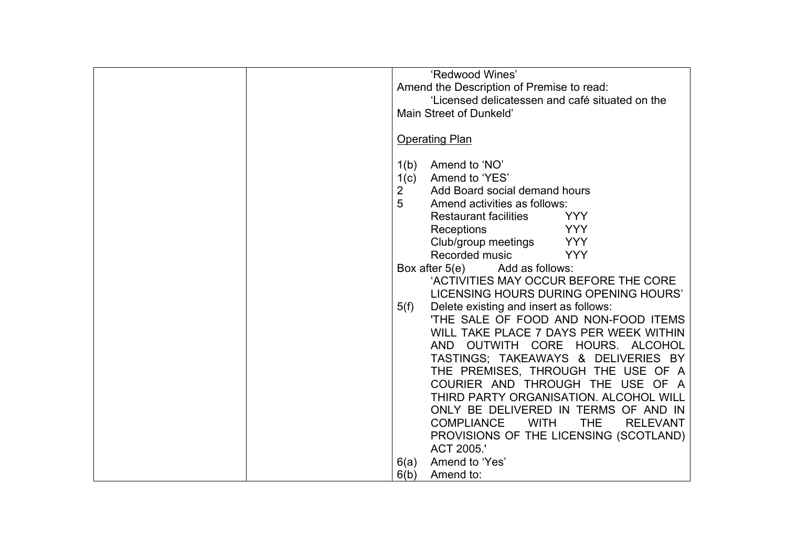| 'Redwood Wines'<br>Amend the Description of Premise to read:<br>'Licensed delicatessen and café situated on the<br>Main Street of Dunkeld'                                                                                                                                                                                                                                                                                                                                                          |
|-----------------------------------------------------------------------------------------------------------------------------------------------------------------------------------------------------------------------------------------------------------------------------------------------------------------------------------------------------------------------------------------------------------------------------------------------------------------------------------------------------|
| <b>Operating Plan</b>                                                                                                                                                                                                                                                                                                                                                                                                                                                                               |
| Amend to 'NO'<br>1(b)<br>Amend to 'YES'<br>1(c)<br>$\overline{2}$<br>Add Board social demand hours<br>5<br>Amend activities as follows:<br><b>Restaurant facilities</b><br><b>YYY</b><br><b>YYY</b><br>Receptions<br>Club/group meetings<br><b>YYY</b><br>Recorded music<br><b>YYY</b>                                                                                                                                                                                                              |
| Box after 5(e) Add as follows:                                                                                                                                                                                                                                                                                                                                                                                                                                                                      |
| 'ACTIVITIES MAY OCCUR BEFORE THE CORE<br>LICENSING HOURS DURING OPENING HOURS'                                                                                                                                                                                                                                                                                                                                                                                                                      |
| 5(f)<br>Delete existing and insert as follows:<br>'THE SALE OF FOOD AND NON-FOOD ITEMS<br>WILL TAKE PLACE 7 DAYS PER WEEK WITHIN<br>AND OUTWITH CORE HOURS. ALCOHOL<br>TASTINGS; TAKEAWAYS & DELIVERIES BY<br>THE PREMISES, THROUGH THE USE OF A<br>COURIER AND THROUGH THE USE OF A<br>THIRD PARTY ORGANISATION. ALCOHOL WILL<br>ONLY BE DELIVERED IN TERMS OF AND IN<br><b>THE</b><br><b>COMPLIANCE</b><br><b>WITH</b><br><b>RELEVANT</b><br>PROVISIONS OF THE LICENSING (SCOTLAND)<br>ACT 2005.' |
| Amend to 'Yes'<br>6(a)<br>6(b)<br>Amend to:                                                                                                                                                                                                                                                                                                                                                                                                                                                         |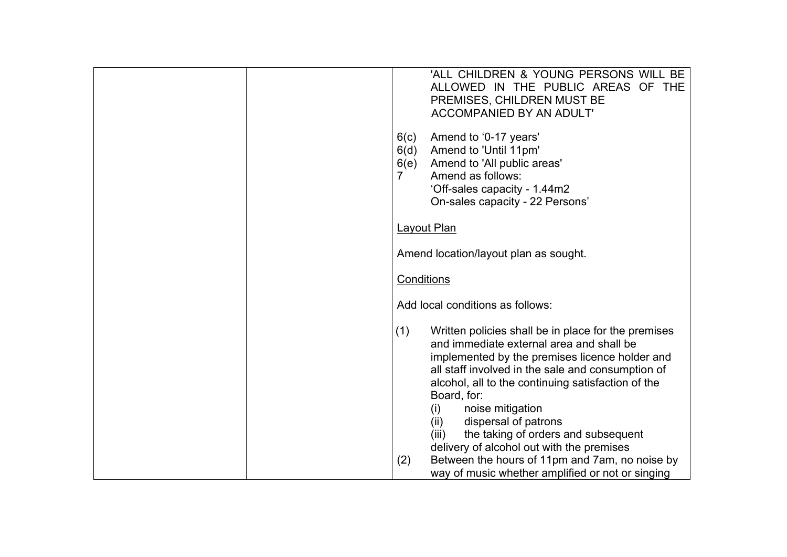| 'ALL CHILDREN & YOUNG PERSONS WILL BE<br>ALLOWED IN THE PUBLIC AREAS OF THE<br>PREMISES, CHILDREN MUST BE<br><b>ACCOMPANIED BY AN ADULT'</b>                                                                                                                                                                                                                                                                                               |
|--------------------------------------------------------------------------------------------------------------------------------------------------------------------------------------------------------------------------------------------------------------------------------------------------------------------------------------------------------------------------------------------------------------------------------------------|
| 6(c)<br>Amend to '0-17 years'<br>Amend to 'Until 11pm'<br>6(d)<br>Amend to 'All public areas'<br>6(e)<br>7<br>Amend as follows:<br>'Off-sales capacity - 1.44m2<br>On-sales capacity - 22 Persons'                                                                                                                                                                                                                                         |
| Layout Plan                                                                                                                                                                                                                                                                                                                                                                                                                                |
| Amend location/layout plan as sought.                                                                                                                                                                                                                                                                                                                                                                                                      |
| <b>Conditions</b>                                                                                                                                                                                                                                                                                                                                                                                                                          |
| Add local conditions as follows:                                                                                                                                                                                                                                                                                                                                                                                                           |
| (1)<br>Written policies shall be in place for the premises<br>and immediate external area and shall be<br>implemented by the premises licence holder and<br>all staff involved in the sale and consumption of<br>alcohol, all to the continuing satisfaction of the<br>Board, for:<br>(i)<br>noise mitigation<br>dispersal of patrons<br>(ii)<br>the taking of orders and subsequent<br>(iii)<br>delivery of alcohol out with the premises |
| Between the hours of 11pm and 7am, no noise by<br>(2)<br>way of music whether amplified or not or singing                                                                                                                                                                                                                                                                                                                                  |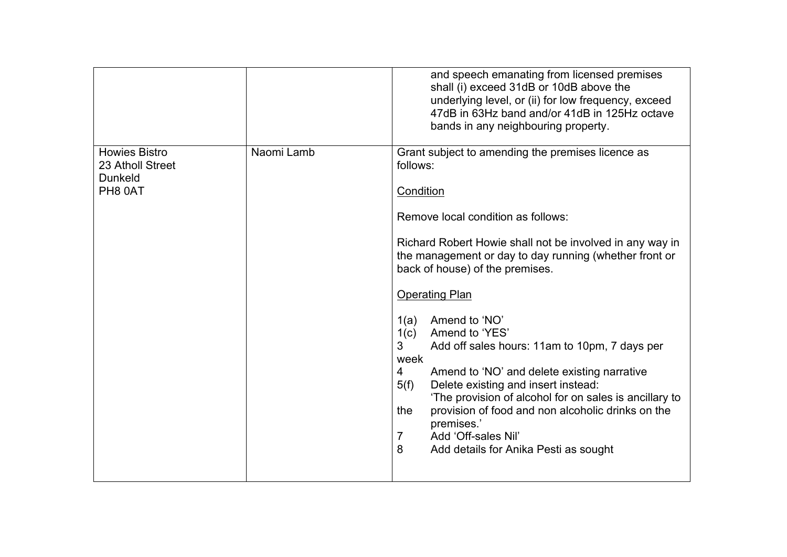|                                                                       |            | and speech emanating from licensed premises<br>shall (i) exceed 31dB or 10dB above the<br>underlying level, or (ii) for low frequency, exceed<br>47dB in 63Hz band and/or 41dB in 125Hz octave<br>bands in any neighbouring property.                                                                                                                                                                                                                                                                                                                                                                                                                                                                                                |
|-----------------------------------------------------------------------|------------|--------------------------------------------------------------------------------------------------------------------------------------------------------------------------------------------------------------------------------------------------------------------------------------------------------------------------------------------------------------------------------------------------------------------------------------------------------------------------------------------------------------------------------------------------------------------------------------------------------------------------------------------------------------------------------------------------------------------------------------|
| <b>Howies Bistro</b><br>23 Atholl Street<br><b>Dunkeld</b><br>PH8 0AT | Naomi Lamb | Grant subject to amending the premises licence as<br>follows:<br>Condition<br>Remove local condition as follows:<br>Richard Robert Howie shall not be involved in any way in<br>the management or day to day running (whether front or<br>back of house) of the premises.<br><b>Operating Plan</b><br>Amend to 'NO'<br>1(a)<br>1(c)<br>Amend to 'YES'<br>3<br>Add off sales hours: 11am to 10pm, 7 days per<br>week<br>4<br>Amend to 'NO' and delete existing narrative<br>Delete existing and insert instead:<br>5(f)<br>'The provision of alcohol for on sales is ancillary to<br>provision of food and non alcoholic drinks on the<br>the<br>premises.'<br>Add 'Off-sales Nil'<br>7<br>8<br>Add details for Anika Pesti as sought |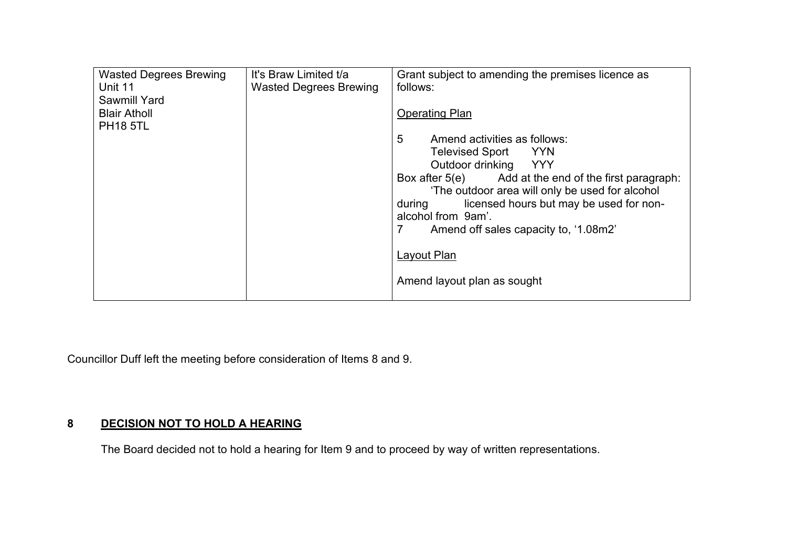| <b>Wasted Degrees Brewing</b> | It's Braw Limited t/a         | Grant subject to amending the premises licence as     |
|-------------------------------|-------------------------------|-------------------------------------------------------|
| Unit 11                       | <b>Wasted Degrees Brewing</b> | follows:                                              |
| <b>Sawmill Yard</b>           |                               |                                                       |
| <b>Blair Atholl</b>           |                               | <b>Operating Plan</b>                                 |
| <b>PH18 5TL</b>               |                               |                                                       |
|                               |                               | 5<br>Amend activities as follows:                     |
|                               |                               | Televised Sport YYN                                   |
|                               |                               | Outdoor drinking YYY                                  |
|                               |                               | Box after 5(e) Add at the end of the first paragraph: |
|                               |                               | 'The outdoor area will only be used for alcohol       |
|                               |                               | licensed hours but may be used for non-<br>during     |
|                               |                               | alcohol from 9am'.                                    |
|                               |                               | 7<br>Amend off sales capacity to, '1.08m2'            |
|                               |                               |                                                       |
|                               |                               | Layout Plan                                           |
|                               |                               |                                                       |
|                               |                               | Amend layout plan as sought                           |
|                               |                               |                                                       |

Councillor Duff left the meeting before consideration of Items 8 and 9.

# **8 DECISION NOT TO HOLD A HEARING**

The Board decided not to hold a hearing for Item 9 and to proceed by way of written representations.